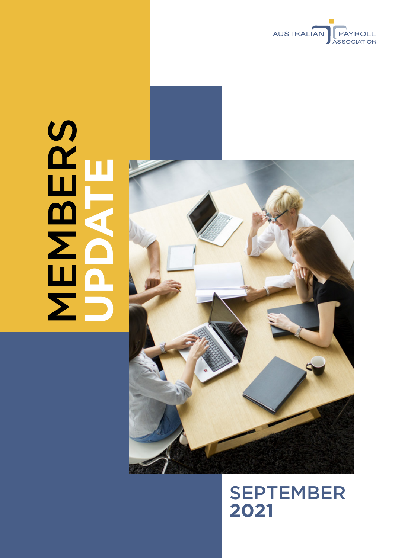

# SCHOOL NAMES **MBERS UPDATE**



**SEPTEMBER 2021**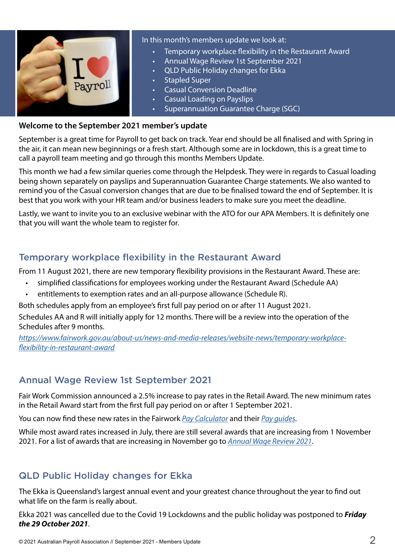

#### In this month's members update we look at:

- Temporary workplace flexibility in the Restaurant Award
- Annual Wage Review 1st September 2021
- QLD Public Holiday changes for Ekka
- Stapled Super
- Casual Conversion Deadline
- Casual Loading on Payslips
- Superannuation Guarantee Charge (SGC)

#### **Welcome to the September 2021 member's update**

September is a great time for Payroll to get back on track. Year end should be all finalised and with Spring in the air, it can mean new beginnings or a fresh start. Although some are in lockdown, this is a great time to call a payroll team meeting and go through this months Members Update.

This month we had a few similar queries come through the Helpdesk. They were in regards to Casual loading being shown separately on payslips and Superannuation Guarantee Charge statements. We also wanted to remind you of the Casual conversion changes that are due to be finalised toward the end of September. It is best that you work with your HR team and/or business leaders to make sure you meet the deadline.

Lastly, we want to invite you to an exclusive webinar with the ATO for our APA Members. It is definitely one that you will want the whole team to register for.

## Temporary workplace flexibility in the Restaurant Award

From 11 August 2021, there are new temporary flexibility provisions in the Restaurant Award. These are:

- simplified classifications for employees working under the Restaurant Award (Schedule AA)
- entitlements to exemption rates and an all-purpose allowance (Schedule R).

Both schedules apply from an employee's first full pay period on or after 11 August 2021.

Schedules AA and R will initially apply for 12 months. There will be a review into the operation of the Schedules after 9 months.

*[https://www.fairwork.gov.au/about-us/news-and-media-releases/website-news/temporary-workplace](https://www.fairwork.gov.au/about-us/news-and-media-releases/website-news/temporary-workplace-flexibility-in-restaurant-award)[flexibility-in-restaurant-award](https://www.fairwork.gov.au/about-us/news-and-media-releases/website-news/temporary-workplace-flexibility-in-restaurant-award)*

## Annual Wage Review 1st September 2021

Fair Work Commission announced a 2.5% increase to pay rates in the Retail Award. The new minimum rates in the Retail Award start from the first full pay period on or after 1 September 2021.

You can now find these new rates in the Fairwork *[Pay Calculator](https://calculate.fairwork.gov.au/findyouraward)* and their *[Pay guides](https://www.fairwork.gov.au/pay/minimum-wages/pay-guides)*.

While most award rates increased in July, there are still several awards that are increasing from 1 November 2021. For a list of awards that are increasing in November go to *[Annual Wage Review 2021](https://www.fairwork.gov.au/about-us/news-and-media-releases/website-news/annual-wage-review-2021#when-does-the-increase-start)*.

## QLD Public Holiday changes for Ekka

The Ekka is Queensland's largest annual event and your greatest chance throughout the year to find out what life on the farm is really about.

Ekka 2021 was cancelled due to the Covid 19 Lockdowns and the public holiday was postponed to *Friday the 29 October 2021*.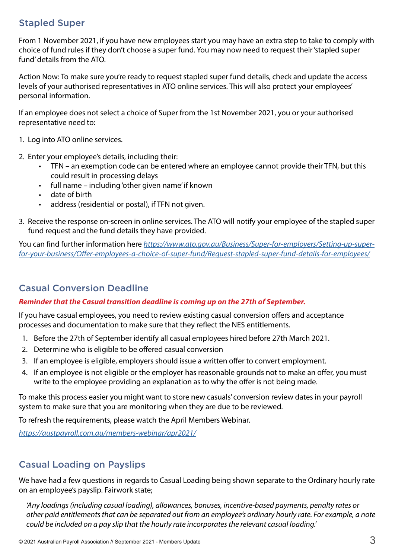#### Stapled Super

From 1 November 2021, if you have new employees start you may have an extra step to take to comply with choice of fund rules if they don't choose a super fund. You may now need to request their 'stapled super fund' details from the ATO.

Action Now: To make sure you're ready to request stapled super fund details, check and update the access levels of your authorised representatives in ATO online services. This will also protect your employees' personal information.

If an employee does not select a choice of Super from the 1st November 2021, you or your authorised representative need to:

- 1. Log into ATO online services.
- 2. Enter your employee's details, including their:
	- TFN an exemption code can be entered where an employee cannot provide their TFN, but this could result in processing delays
	- full name including 'other given name' if known
	- date of birth
	- address (residential or postal), if TFN not given.
- 3. Receive the response on-screen in online services. The ATO will notify your employee of the stapled super fund request and the fund details they have provided.

You can find further information here *[https://www.ato.gov.au/Business/Super-for-employers/Setting-up-super](https://www.ato.gov.au/Business/Super-for-employers/Setting-up-super-for-your-business/Offer-employees-a-choice-of-super-fund/Request-stapled-super-fund-details-for-employees/)[for-your-business/Offer-employees-a-choice-of-super-fund/Request-stapled-super-fund-details-for-employees/](https://www.ato.gov.au/Business/Super-for-employers/Setting-up-super-for-your-business/Offer-employees-a-choice-of-super-fund/Request-stapled-super-fund-details-for-employees/)*

## Casual Conversion Deadline

#### *Reminder that the Casual transition deadline is coming up on the 27th of September.*

If you have casual employees, you need to review existing casual conversion offers and acceptance processes and documentation to make sure that they reflect the NES entitlements.

- 1. Before the 27th of September identify all casual employees hired before 27th March 2021.
- 2. Determine who is eligible to be offered casual conversion
- 3. If an employee is eligible, employers should issue a written offer to convert employment.
- 4. If an employee is not eligible or the employer has reasonable grounds not to make an offer, you must write to the employee providing an explanation as to why the offer is not being made.

To make this process easier you might want to store new casuals' conversion review dates in your payroll system to make sure that you are monitoring when they are due to be reviewed.

To refresh the requirements, please watch the April Members Webinar.

*<https://austpayroll.com.au/members-webinar/apr2021/>*

## Casual Loading on Payslips

We have had a few questions in regards to Casual Loading being shown separate to the Ordinary hourly rate on an employee's payslip. Fairwork state;

*'Any loadings (including casual loading), allowances, bonuses, incentive-based payments, penalty rates or other paid entitlements that can be separated out from an employee's ordinary hourly rate. For example, a note could be included on a pay slip that the hourly rate incorporates the relevant casual loading.'*